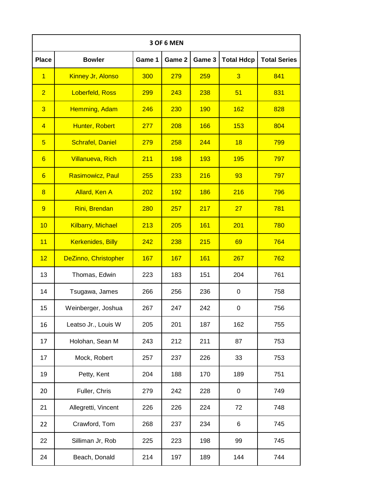| 3 OF 6 MEN      |                             |        |            |            |                   |                     |  |
|-----------------|-----------------------------|--------|------------|------------|-------------------|---------------------|--|
| <b>Place</b>    | <b>Bowler</b>               | Game 1 | Game 2     | Game 3     | <b>Total Hdcp</b> | <b>Total Series</b> |  |
| $\overline{1}$  | Kinney Jr, Alonso           | 300    | 279        | 259        | $\overline{3}$    | 841                 |  |
| $\overline{2}$  | <b>Loberfeld, Ross</b>      | 299    | 243        | 238        | 51                | 831                 |  |
| $\overline{3}$  | Hemming, Adam               | 246    | 230        | <b>190</b> | <b>162</b>        | 828                 |  |
| $\overline{4}$  | Hunter, Robert              | 277    | 208        | 166        | 153               | 804                 |  |
| $\overline{5}$  | <b>Schrafel, Daniel</b>     | 279    | 258        | 244        | 18                | 799                 |  |
| 6               | <b>Villanueva, Rich</b>     | 211    | <b>198</b> | 193        | <b>195</b>        | 797                 |  |
| $6\overline{6}$ | <b>Rasimowicz, Paul</b>     | 255    | 233        | 216        | 93                | 797                 |  |
| $\overline{8}$  | <b>Allard, Ken A</b>        | 202    | <b>192</b> | <b>186</b> | 216               | 796                 |  |
| 9               | Rini, Brendan               | 280    | 257        | 217        | 27                | 781                 |  |
| 10              | <b>Kilbarry, Michael</b>    | 213    | 205        | 161        | 201               | 780                 |  |
| 11              | <b>Kerkenides, Billy</b>    | 242    | 238        | 215        | 69                | 764                 |  |
| 12              | <b>DeZinno, Christopher</b> | 167    | 167        | 161        | 267               | 762                 |  |
| 13              | Thomas, Edwin               | 223    | 183        | 151        | 204               | 761                 |  |
| 14              | Tsugawa, James              | 266    | 256        | 236        | $\pmb{0}$         | 758                 |  |
| 15              | Weinberger, Joshua          | 267    | 247        | 242        | $\pmb{0}$         | 756                 |  |
| 16              | Leatso Jr., Louis W         | 205    | 201        | 187        | 162               | 755                 |  |
| 17              | Holohan, Sean M             | 243    | 212        | 211        | 87                | 753                 |  |
| 17              | Mock, Robert                | 257    | 237        | 226        | 33                | 753                 |  |
| 19              | Petty, Kent                 | 204    | 188        | 170        | 189               | 751                 |  |
| 20              | Fuller, Chris               | 279    | 242        | 228        | 0                 | 749                 |  |
| 21              | Allegretti, Vincent         | 226    | 226        | 224        | 72                | 748                 |  |
| 22              | Crawford, Tom               | 268    | 237        | 234        | 6                 | 745                 |  |
| 22              | Silliman Jr, Rob            | 225    | 223        | 198        | 99                | 745                 |  |
| 24              | Beach, Donald               | 214    | 197        | 189        | 144               | 744                 |  |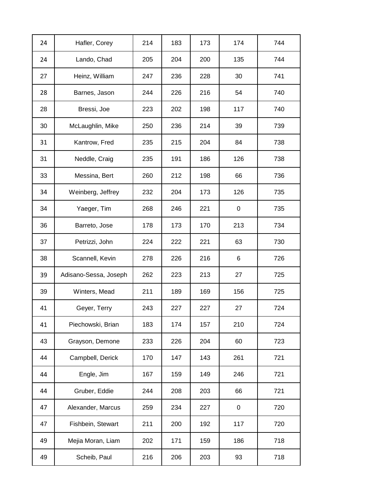| 24 | Hafler, Corey         | 214 | 183 | 173 | 174 | 744 |
|----|-----------------------|-----|-----|-----|-----|-----|
| 24 | Lando, Chad           | 205 | 204 | 200 | 135 | 744 |
| 27 | Heinz, William        | 247 | 236 | 228 | 30  | 741 |
| 28 | Barnes, Jason         | 244 | 226 | 216 | 54  | 740 |
| 28 | Bressi, Joe           | 223 | 202 | 198 | 117 | 740 |
| 30 | McLaughlin, Mike      | 250 | 236 | 214 | 39  | 739 |
| 31 | Kantrow, Fred         | 235 | 215 | 204 | 84  | 738 |
| 31 | Neddle, Craig         | 235 | 191 | 186 | 126 | 738 |
| 33 | Messina, Bert         | 260 | 212 | 198 | 66  | 736 |
| 34 | Weinberg, Jeffrey     | 232 | 204 | 173 | 126 | 735 |
| 34 | Yaeger, Tim           | 268 | 246 | 221 | 0   | 735 |
| 36 | Barreto, Jose         | 178 | 173 | 170 | 213 | 734 |
| 37 | Petrizzi, John        | 224 | 222 | 221 | 63  | 730 |
| 38 | Scannell, Kevin       | 278 | 226 | 216 | 6   | 726 |
| 39 | Adisano-Sessa, Joseph | 262 | 223 | 213 | 27  | 725 |
| 39 | Winters, Mead         | 211 | 189 | 169 | 156 | 725 |
| 41 | Geyer, Terry          | 243 | 227 | 227 | 27  | 724 |
| 41 | Piechowski, Brian     | 183 | 174 | 157 | 210 | 724 |
| 43 | Grayson, Demone       | 233 | 226 | 204 | 60  | 723 |
| 44 | Campbell, Derick      | 170 | 147 | 143 | 261 | 721 |
| 44 | Engle, Jim            | 167 | 159 | 149 | 246 | 721 |
| 44 | Gruber, Eddie         | 244 | 208 | 203 | 66  | 721 |
| 47 | Alexander, Marcus     | 259 | 234 | 227 | 0   | 720 |
| 47 | Fishbein, Stewart     | 211 | 200 | 192 | 117 | 720 |
| 49 | Mejia Moran, Liam     | 202 | 171 | 159 | 186 | 718 |
| 49 | Scheib, Paul          | 216 | 206 | 203 | 93  | 718 |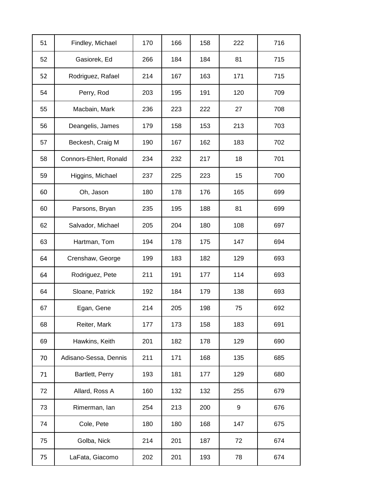| 51 | Findley, Michael       | 170 | 166 | 158 | 222 | 716 |
|----|------------------------|-----|-----|-----|-----|-----|
| 52 | Gasiorek, Ed           | 266 | 184 | 184 | 81  | 715 |
| 52 | Rodriguez, Rafael      | 214 | 167 | 163 | 171 | 715 |
| 54 | Perry, Rod             | 203 | 195 | 191 | 120 | 709 |
| 55 | Macbain, Mark          | 236 | 223 | 222 | 27  | 708 |
| 56 | Deangelis, James       | 179 | 158 | 153 | 213 | 703 |
| 57 | Beckesh, Craig M       | 190 | 167 | 162 | 183 | 702 |
| 58 | Connors-Ehlert, Ronald | 234 | 232 | 217 | 18  | 701 |
| 59 | Higgins, Michael       | 237 | 225 | 223 | 15  | 700 |
| 60 | Oh, Jason              | 180 | 178 | 176 | 165 | 699 |
| 60 | Parsons, Bryan         | 235 | 195 | 188 | 81  | 699 |
| 62 | Salvador, Michael      | 205 | 204 | 180 | 108 | 697 |
| 63 | Hartman, Tom           | 194 | 178 | 175 | 147 | 694 |
| 64 | Crenshaw, George       | 199 | 183 | 182 | 129 | 693 |
| 64 | Rodriguez, Pete        | 211 | 191 | 177 | 114 | 693 |
| 64 | Sloane, Patrick        | 192 | 184 | 179 | 138 | 693 |
| 67 | Egan, Gene             | 214 | 205 | 198 | 75  | 692 |
| 68 | Reiter, Mark           | 177 | 173 | 158 | 183 | 691 |
| 69 | Hawkins, Keith         | 201 | 182 | 178 | 129 | 690 |
| 70 | Adisano-Sessa, Dennis  | 211 | 171 | 168 | 135 | 685 |
| 71 | Bartlett, Perry        | 193 | 181 | 177 | 129 | 680 |
| 72 | Allard, Ross A         | 160 | 132 | 132 | 255 | 679 |
| 73 | Rimerman, lan          | 254 | 213 | 200 | 9   | 676 |
| 74 | Cole, Pete             | 180 | 180 | 168 | 147 | 675 |
| 75 | Golba, Nick            | 214 | 201 | 187 | 72  | 674 |
| 75 | LaFata, Giacomo        | 202 | 201 | 193 | 78  | 674 |